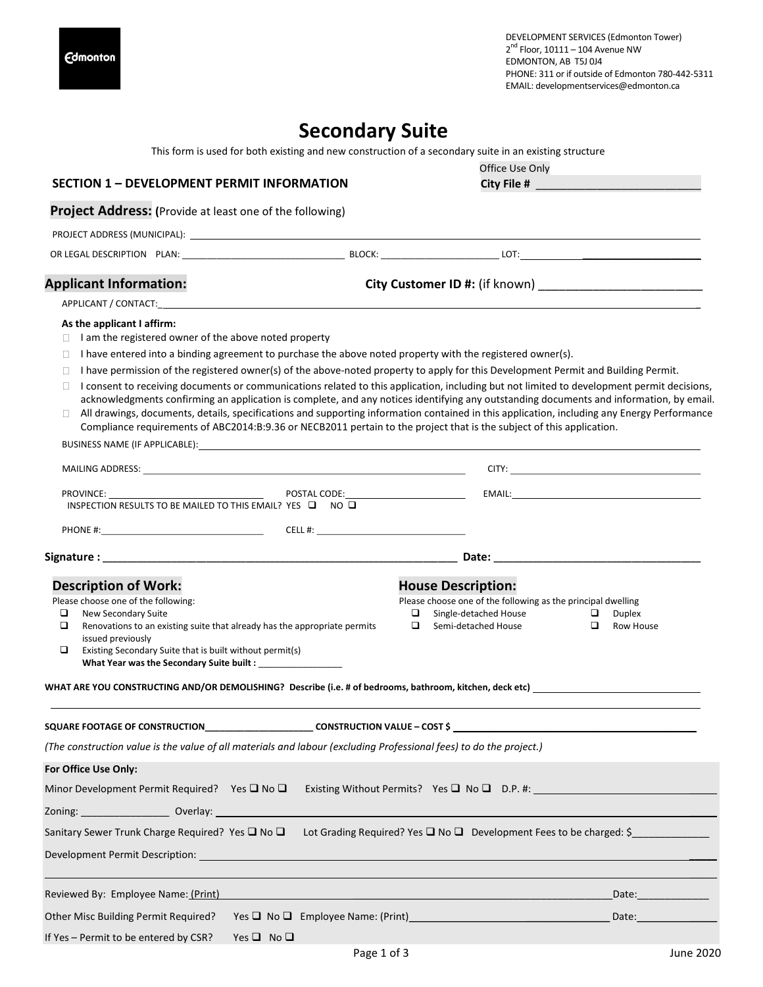DEVELOPMENT SERVICES (Edmonton Tower) 2<sup>nd</sup> Floor, 10111 – 104 Avenue NW EDMONTON, AB T5J 0J4 PHONE: 311 or if outside of Edmonton 780-442-5311 EMAIL: developmentservices@edmonton.ca

# Secondary Suite

This form is used for both existing and new construction of a secondary suite in an existing structure

| <b>SECTION 1 - DEVELOPMENT PERMIT INFORMATION</b>                                                                                                                                                                                                                                                                                                                                                                                                                                                                                                                                                                                                                                                                                                                                                                                                                                                                       |                                                                                            |                               | Office Use Only                                                                       |                                                                                                                                                                                                                                |
|-------------------------------------------------------------------------------------------------------------------------------------------------------------------------------------------------------------------------------------------------------------------------------------------------------------------------------------------------------------------------------------------------------------------------------------------------------------------------------------------------------------------------------------------------------------------------------------------------------------------------------------------------------------------------------------------------------------------------------------------------------------------------------------------------------------------------------------------------------------------------------------------------------------------------|--------------------------------------------------------------------------------------------|-------------------------------|---------------------------------------------------------------------------------------|--------------------------------------------------------------------------------------------------------------------------------------------------------------------------------------------------------------------------------|
| <b>Project Address:</b> (Provide at least one of the following)                                                                                                                                                                                                                                                                                                                                                                                                                                                                                                                                                                                                                                                                                                                                                                                                                                                         |                                                                                            |                               |                                                                                       |                                                                                                                                                                                                                                |
|                                                                                                                                                                                                                                                                                                                                                                                                                                                                                                                                                                                                                                                                                                                                                                                                                                                                                                                         |                                                                                            |                               |                                                                                       |                                                                                                                                                                                                                                |
|                                                                                                                                                                                                                                                                                                                                                                                                                                                                                                                                                                                                                                                                                                                                                                                                                                                                                                                         |                                                                                            |                               |                                                                                       |                                                                                                                                                                                                                                |
| <b>Applicant Information:</b>                                                                                                                                                                                                                                                                                                                                                                                                                                                                                                                                                                                                                                                                                                                                                                                                                                                                                           |                                                                                            |                               |                                                                                       |                                                                                                                                                                                                                                |
| APPLICANT / CONTACT: A PRODUCT OF THE SERVICE OF THE SERVICE OF THE SERVICE OF THE SERVICE OF THE SERVICE OF T                                                                                                                                                                                                                                                                                                                                                                                                                                                                                                                                                                                                                                                                                                                                                                                                          |                                                                                            |                               |                                                                                       |                                                                                                                                                                                                                                |
| As the applicant I affirm:<br>I am the registered owner of the above noted property<br>I have entered into a binding agreement to purchase the above noted property with the registered owner(s).<br>□<br>I have permission of the registered owner(s) of the above-noted property to apply for this Development Permit and Building Permit.<br>□<br>I consent to receiving documents or communications related to this application, including but not limited to development permit decisions,<br>□<br>acknowledgments confirming an application is complete, and any notices identifying any outstanding documents and information, by email.<br>All drawings, documents, details, specifications and supporting information contained in this application, including any Energy Performance<br>Compliance requirements of ABC2014:B:9.36 or NECB2011 pertain to the project that is the subject of this application. |                                                                                            |                               |                                                                                       |                                                                                                                                                                                                                                |
|                                                                                                                                                                                                                                                                                                                                                                                                                                                                                                                                                                                                                                                                                                                                                                                                                                                                                                                         |                                                                                            |                               |                                                                                       |                                                                                                                                                                                                                                |
|                                                                                                                                                                                                                                                                                                                                                                                                                                                                                                                                                                                                                                                                                                                                                                                                                                                                                                                         |                                                                                            |                               |                                                                                       |                                                                                                                                                                                                                                |
| PROVINCE:<br>INSPECTION RESULTS TO BE MAILED TO THIS EMAIL? YES <b>Q</b> NO Q                                                                                                                                                                                                                                                                                                                                                                                                                                                                                                                                                                                                                                                                                                                                                                                                                                           |                                                                                            |                               |                                                                                       |                                                                                                                                                                                                                                |
|                                                                                                                                                                                                                                                                                                                                                                                                                                                                                                                                                                                                                                                                                                                                                                                                                                                                                                                         |                                                                                            |                               |                                                                                       |                                                                                                                                                                                                                                |
|                                                                                                                                                                                                                                                                                                                                                                                                                                                                                                                                                                                                                                                                                                                                                                                                                                                                                                                         |                                                                                            |                               |                                                                                       |                                                                                                                                                                                                                                |
|                                                                                                                                                                                                                                                                                                                                                                                                                                                                                                                                                                                                                                                                                                                                                                                                                                                                                                                         |                                                                                            |                               |                                                                                       |                                                                                                                                                                                                                                |
| <b>Description of Work:</b>                                                                                                                                                                                                                                                                                                                                                                                                                                                                                                                                                                                                                                                                                                                                                                                                                                                                                             |                                                                                            | <b>House Description:</b>     |                                                                                       |                                                                                                                                                                                                                                |
| Please choose one of the following:<br>□<br>New Secondary Suite                                                                                                                                                                                                                                                                                                                                                                                                                                                                                                                                                                                                                                                                                                                                                                                                                                                         |                                                                                            | □                             | Please choose one of the following as the principal dwelling<br>Single-detached House | □<br><b>Duplex</b>                                                                                                                                                                                                             |
| □<br>Renovations to an existing suite that already has the appropriate permits<br>issued previously<br>□<br>Existing Secondary Suite that is built without permit(s)                                                                                                                                                                                                                                                                                                                                                                                                                                                                                                                                                                                                                                                                                                                                                    |                                                                                            | $\Box$<br>Semi-detached House |                                                                                       | □<br>Row House                                                                                                                                                                                                                 |
| WHAT ARE YOU CONSTRUCTING AND/OR DEMOLISHING? Describe (i.e. # of bedrooms, bathroom, kitchen, deck etc)                                                                                                                                                                                                                                                                                                                                                                                                                                                                                                                                                                                                                                                                                                                                                                                                                |                                                                                            |                               |                                                                                       |                                                                                                                                                                                                                                |
| SQUARE FOOTAGE OF CONSTRUCTION                                                                                                                                                                                                                                                                                                                                                                                                                                                                                                                                                                                                                                                                                                                                                                                                                                                                                          | ______________________________ CONSTRUCTION VALUE - COST \$ _                              |                               |                                                                                       |                                                                                                                                                                                                                                |
| (The construction value is the value of all materials and labour (excluding Professional fees) to do the project.)                                                                                                                                                                                                                                                                                                                                                                                                                                                                                                                                                                                                                                                                                                                                                                                                      |                                                                                            |                               |                                                                                       |                                                                                                                                                                                                                                |
| For Office Use Only:                                                                                                                                                                                                                                                                                                                                                                                                                                                                                                                                                                                                                                                                                                                                                                                                                                                                                                    |                                                                                            |                               |                                                                                       |                                                                                                                                                                                                                                |
| Minor Development Permit Required? Yes $\square$ No $\square$                                                                                                                                                                                                                                                                                                                                                                                                                                                                                                                                                                                                                                                                                                                                                                                                                                                           |                                                                                            |                               |                                                                                       |                                                                                                                                                                                                                                |
| Zoning: <u>contract and Overlay:</u> Contract 2011 Contract 2012 Contract 2012 Contract 2012 Contract 201                                                                                                                                                                                                                                                                                                                                                                                                                                                                                                                                                                                                                                                                                                                                                                                                               |                                                                                            |                               |                                                                                       |                                                                                                                                                                                                                                |
| Sanitary Sewer Trunk Charge Required? Yes □ No □                                                                                                                                                                                                                                                                                                                                                                                                                                                                                                                                                                                                                                                                                                                                                                                                                                                                        |                                                                                            |                               |                                                                                       | Lot Grading Required? Yes □ No □ Development Fees to be charged: \$                                                                                                                                                            |
|                                                                                                                                                                                                                                                                                                                                                                                                                                                                                                                                                                                                                                                                                                                                                                                                                                                                                                                         |                                                                                            |                               |                                                                                       |                                                                                                                                                                                                                                |
| Reviewed By: Employee Name: (Print)                                                                                                                                                                                                                                                                                                                                                                                                                                                                                                                                                                                                                                                                                                                                                                                                                                                                                     |                                                                                            |                               |                                                                                       | Date: the contract of the contract of the contract of the contract of the contract of the contract of the contract of the contract of the contract of the contract of the contract of the contract of the contract of the cont |
| Other Misc Building Permit Required?                                                                                                                                                                                                                                                                                                                                                                                                                                                                                                                                                                                                                                                                                                                                                                                                                                                                                    | Yes <b>□</b> No □ Employee Name: (Print)<br><u> University</u> No □ Employee Name: (Print) |                               |                                                                                       | Date: the contract of the contract of the contract of the contract of the contract of the contract of the contract of the contract of the contract of the contract of the contract of the contract of the contract of the cont |
| If Yes - Permit to be entered by CSR?<br>Yes $\Box$ No $\Box$                                                                                                                                                                                                                                                                                                                                                                                                                                                                                                                                                                                                                                                                                                                                                                                                                                                           |                                                                                            |                               |                                                                                       |                                                                                                                                                                                                                                |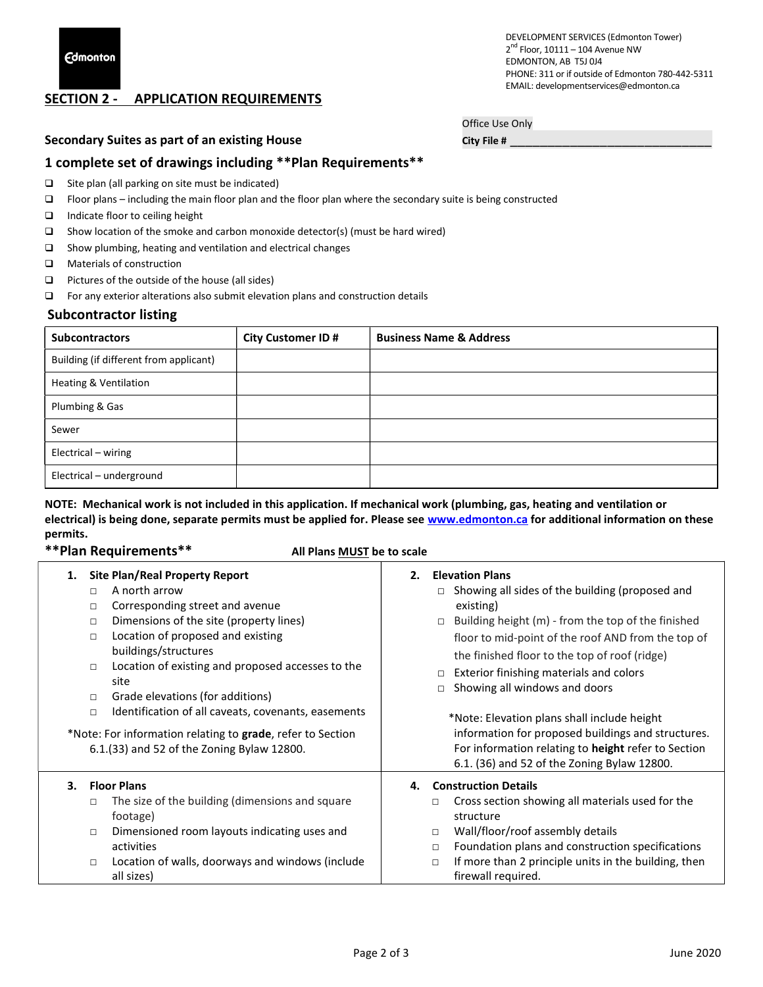

### SECTION 2 - APPLICATION REQUIREMENTS

Secondary Suites as part of an existing House City File #  $City$  File #

# 1 complete set of drawings including \*\*Plan Requirements\*\*

- $\Box$  Site plan (all parking on site must be indicated)
- Floor plans including the main floor plan and the floor plan where the secondary suite is being constructed
- □ Indicate floor to ceiling height
- $\Box$  Show location of the smoke and carbon monoxide detector(s) (must be hard wired)
- $\square$  Show plumbing, heating and ventilation and electrical changes
- **D** Materials of construction
- $\Box$  Pictures of the outside of the house (all sides)
- $\square$  For any exterior alterations also submit elevation plans and construction details

## Subcontractor listing

| <b>Subcontractors</b>                  | <b>City Customer ID#</b> | <b>Business Name &amp; Address</b> |
|----------------------------------------|--------------------------|------------------------------------|
| Building (if different from applicant) |                          |                                    |
| <b>Heating &amp; Ventilation</b>       |                          |                                    |
| Plumbing & Gas                         |                          |                                    |
| Sewer                                  |                          |                                    |
| Electrical - wiring                    |                          |                                    |
| Electrical - underground               |                          |                                    |

NOTE: Mechanical work is not included in this application. If mechanical work (plumbing, gas, heating and ventilation or electrical) is being done, separate permits must be applied for. Please see www.edmonton.ca for additional information on these permits.

\*\*Plan Requirements\*\* All Plans MUST be to scale

| Site Plan/Real Property Report<br>1.<br>A north arrow<br>$\Box$<br>Corresponding street and avenue<br>$\Box$<br>Dimensions of the site (property lines)<br>$\Box$<br>Location of proposed and existing<br>$\Box$<br>buildings/structures<br>Location of existing and proposed accesses to the<br>$\Box$<br>site<br>Grade elevations (for additions)<br>$\Box$<br>Identification of all caveats, covenants, easements<br>$\Box$<br>*Note: For information relating to grade, refer to Section<br>6.1.(33) and 52 of the Zoning Bylaw 12800. | <b>Elevation Plans</b><br>2.<br>Showing all sides of the building (proposed and<br>existing)<br>Building height (m) - from the top of the finished<br>$\Box$<br>floor to mid-point of the roof AND from the top of<br>the finished floor to the top of roof (ridge)<br>Exterior finishing materials and colors<br>$\Box$<br>Showing all windows and doors<br>$\Box$<br>*Note: Elevation plans shall include height<br>information for proposed buildings and structures.<br>For information relating to height refer to Section<br>6.1. (36) and 52 of the Zoning Bylaw 12800. |  |  |
|--------------------------------------------------------------------------------------------------------------------------------------------------------------------------------------------------------------------------------------------------------------------------------------------------------------------------------------------------------------------------------------------------------------------------------------------------------------------------------------------------------------------------------------------|--------------------------------------------------------------------------------------------------------------------------------------------------------------------------------------------------------------------------------------------------------------------------------------------------------------------------------------------------------------------------------------------------------------------------------------------------------------------------------------------------------------------------------------------------------------------------------|--|--|
| <b>Floor Plans</b><br>3.<br>The size of the building (dimensions and square<br>$\Box$<br>footage)<br>Dimensioned room layouts indicating uses and<br>$\Box$<br>activities<br>Location of walls, doorways and windows (include<br>$\Box$<br>all sizes)                                                                                                                                                                                                                                                                                      | <b>Construction Details</b><br>4.<br>Cross section showing all materials used for the<br>П<br>structure<br>Wall/floor/roof assembly details<br>$\Box$<br>Foundation plans and construction specifications<br>$\Box$<br>If more than 2 principle units in the building, then<br>$\Box$<br>firewall required.                                                                                                                                                                                                                                                                    |  |  |

Office Use Only